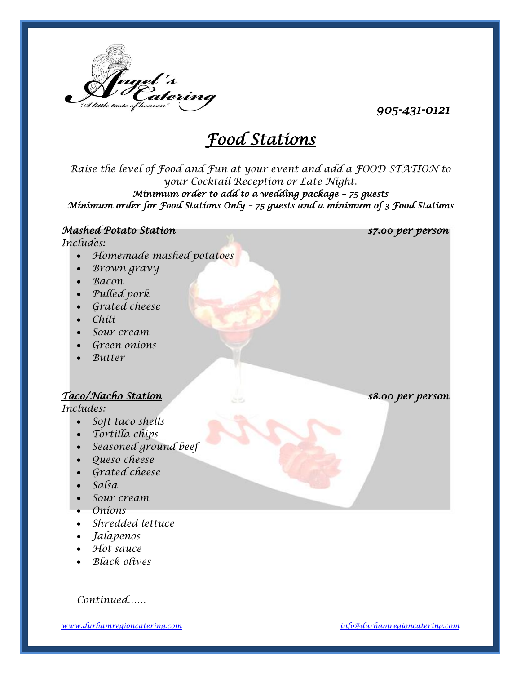

*905-431-0121*

# *Food Stations*

*Raise the level of Food and Fun at your event and add a FOOD STATION to your Cocktail Reception or Late Night. Minimum order to add to a wedding package – 75 guests Minimum order for Food Stations Only – 75 guests and a minimum of 3 Food Stations* 

#### *Mashed Potato Station \$7.00 per person*

*Includes:*

- *Homemade mashed potatoes*
- *Brown gravy*
- *Bacon*
- *Pulled pork*
- *Grated cheese*
- *Chili*
- *Sour cream*
- *Green onions*
- *Butter*

# *Taco/Nacho Station \$8.00 per person*

*Includes:*

- *Soft taco shells*
- *Tortilla chips*
- *Seasoned ground beef*
- *Queso cheese*
- *Grated cheese*
- *Salsa*
- *Sour cream*
- *Onions*
- *Shredded lettuce*
- *Jalapenos*
- *Hot sauce*
- *Black olives*

*Continued……*

*[www.durhamregioncatering.com](http://www.angelescatering.com/) [info@durhamregioncatering.com](mailto:info@durhamregioncatering.com)*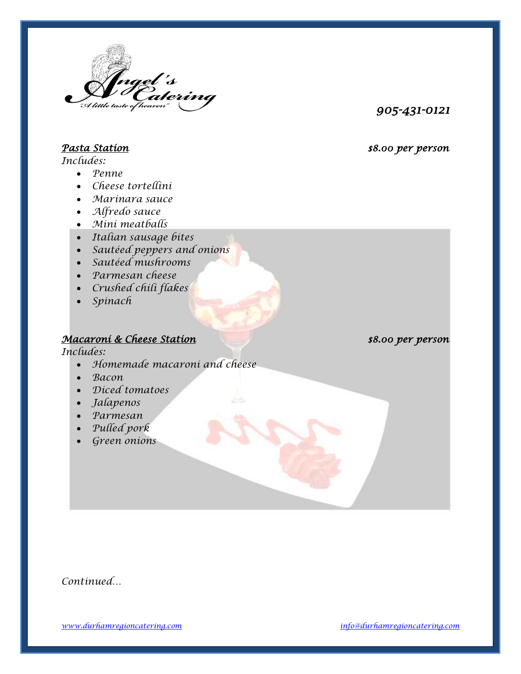

*905-431-0121*

# *Pasta Station \$8.00 per person*

*Includes:*

- *Penne*
- *Cheese tortellini*
- *Marinara sauce*
- *Alfredo sauce*
- *Mini meatballs*
- *Italian sausage bites*
- *Sautéed peppers and onions*
- *Sautéed mushrooms*
- *Parmesan cheese*
- *Crushed chili flakes*
- *Spinach*

# *Macaroni & Cheese Station \$8.00 per person*

*Includes:*

- *Homemade macaroni and cheese*
- *Bacon*
- *Diced tomatoes*
- *Jalapenos*
- *Parmesan*
- *Pulled pork*
- *Green onions*

*Continued…*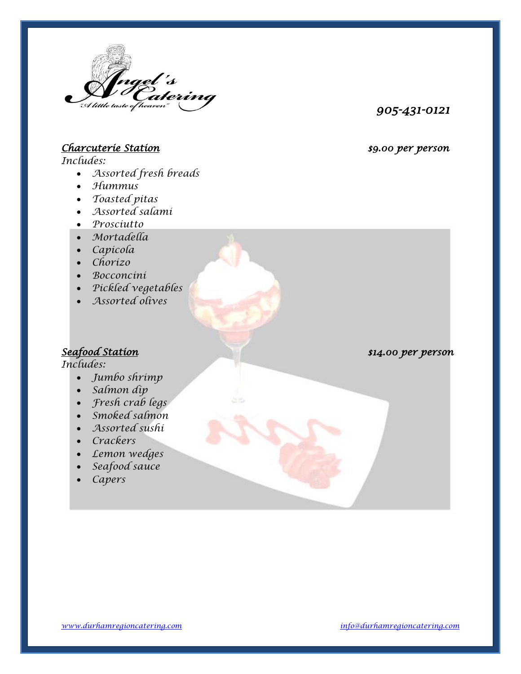

#### *905-431-0121*

# *Charcuterie Station \$9.00 per person*

*Includes:*

- *Assorted fresh breads*
- *Hummus*
- *Toasted pitas*
- *Assorted salami*
- *Prosciutto*
- *Mortadella*
- *Capicola*
- *Chorizo*
- *Bocconcini*
- *Pickled vegetables*
- *Assorted olives*

## *Seafood Station \$14.00 per person*

*Includes:*

- *Jumbo shrimp*
- *Salmon dip*
- *Fresh crab legs*
- *Smoked salmon*
- *Assorted sushi*
- *Crackers*
- *Lemon wedges*
- *Seafood sauce*
- *Capers*